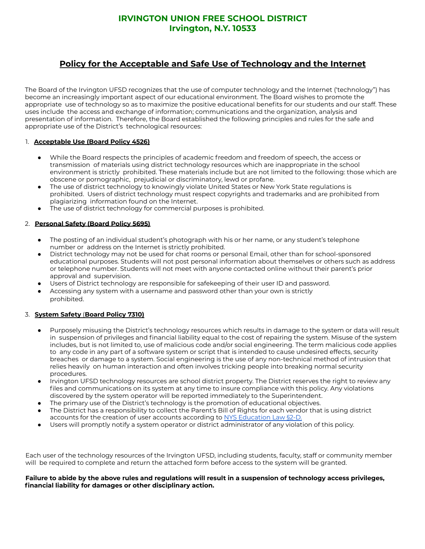## **IRVINGTON UNION FREE SCHOOL DISTRICT Irvington, N.Y. 10533**

# **Policy for the Acceptable and Safe Use of Technology and the Internet**

The Board of the Irvington UFSD recognizes that the use of computer technology and the Internet ('technology") has become an increasingly important aspect of our educational environment. The Board wishes to promote the appropriate use of technology so as to maximize the positive educational benefits for our students and our staff. These uses include the access and exchange of information; communications and the organization, analysis and presentation of information. Therefore, the Board established the following principles and rules for the safe and appropriate use of the District's technological resources:

### 1. **Acceptable Use (Board Policy 4526)**

- While the Board respects the principles of academic freedom and freedom of speech, the access or transmission of materials using district technology resources which are inappropriate in the school environment is strictly prohibited. These materials include but are not limited to the following: those which are obscene or pornographic, prejudicial or discriminatory, lewd or profane.
- The use of district technology to knowingly violate United States or New York State regulations is prohibited. Users of district technology must respect copyrights and trademarks and are prohibited from plagiarizing information found on the Internet.
- The use of district technology for commercial purposes is prohibited.

#### 2. **Personal Safety (Board Policy 5695)**

- The posting of an individual student's photograph with his or her name, or any student's telephone number or address on the Internet is strictly prohibited.
- District technology may not be used for chat rooms or personal Email, other than for school-sponsored educational purposes. Students will not post personal information about themselves or others such as address or telephone number. Students will not meet with anyone contacted online without their parent's prior approval and supervision.
- Users of District technology are responsible for safekeeping of their user ID and password.
- Accessing any system with a username and password other than your own is strictly prohibited.

#### 3. **System Safety** (**Board Policy 7310)**

- Purposely misusing the District's technology resources which results in damage to the system or data will result in suspension of privileges and financial liability equal to the cost of repairing the system. Misuse of the system includes, but is not limited to, use of malicious code and/or social engineering. The term malicious code applies to any code in any part of a software system or script that is intended to cause undesired effects, security breaches or damage to a system. Social engineering is the use of any non-technical method of intrusion that relies heavily on human interaction and often involves tricking people into breaking normal security procedures.
- Irvington UFSD technology resources are school district property. The District reserves the right to review any files and communications on its system at any time to insure compliance with this policy. Any violations discovered by the system operator will be reported immediately to the Superintendent.
- The primary use of the District's technology is the promotion of educational objectives.
- The District has a responsibility to collect the Parent's Bill of Rights for each vendor that is using district accounts for the creation of user accounts according to NYS [Education](http://www.nysed.gov/data-privacy-security/ny-education-law-section-2-d-required-website-published-documents) Law §2-D.
- Users will promptly notify a system operator or district administrator of any violation of this policy.

Each user of the technology resources of the Irvington UFSD, including students, faculty, staff or community member will be required to complete and return the attached form before access to the system will be granted.

Failure to abide by the above rules and regulations will result in a suspension of technology access privileges, **financial liability for damages or other disciplinary action.**